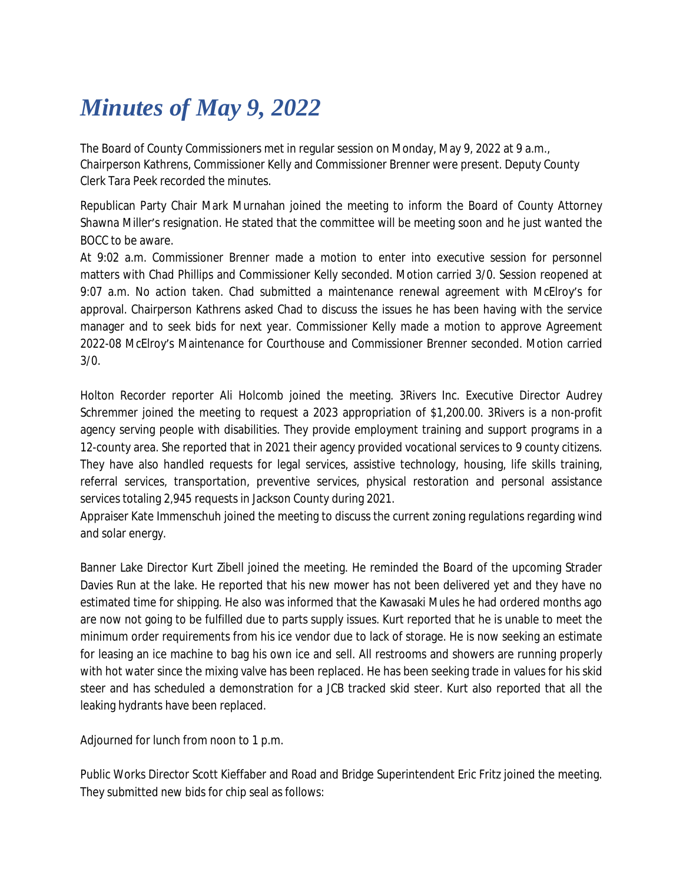## *Minutes of May 9, 2022*

The Board of County Commissioners met in regular session on Monday, May 9, 2022 at 9 a.m., Chairperson Kathrens, Commissioner Kelly and Commissioner Brenner were present. Deputy County Clerk Tara Peek recorded the minutes.

Republican Party Chair Mark Murnahan joined the meeting to inform the Board of County Attorney Shawna Miller's resignation. He stated that the committee will be meeting soon and he just wanted the BOCC to be aware.

At 9:02 a.m. Commissioner Brenner made a motion to enter into executive session for personnel matters with Chad Phillips and Commissioner Kelly seconded. Motion carried 3/0. Session reopened at 9:07 a.m. No action taken. Chad submitted a maintenance renewal agreement with McElroy's for approval. Chairperson Kathrens asked Chad to discuss the issues he has been having with the service manager and to seek bids for next year. Commissioner Kelly made a motion to approve Agreement 2022-08 McElroy's Maintenance for Courthouse and Commissioner Brenner seconded. Motion carried 3/0.

Holton Recorder reporter Ali Holcomb joined the meeting. 3Rivers Inc. Executive Director Audrey Schremmer joined the meeting to request a 2023 appropriation of \$1,200.00. 3Rivers is a non-profit agency serving people with disabilities. They provide employment training and support programs in a 12-county area. She reported that in 2021 their agency provided vocational services to 9 county citizens. They have also handled requests for legal services, assistive technology, housing, life skills training, referral services, transportation, preventive services, physical restoration and personal assistance services totaling 2,945 requests in Jackson County during 2021.

Appraiser Kate Immenschuh joined the meeting to discuss the current zoning regulations regarding wind and solar energy.

Banner Lake Director Kurt Zibell joined the meeting. He reminded the Board of the upcoming Strader Davies Run at the lake. He reported that his new mower has not been delivered yet and they have no estimated time for shipping. He also was informed that the Kawasaki Mules he had ordered months ago are now not going to be fulfilled due to parts supply issues. Kurt reported that he is unable to meet the minimum order requirements from his ice vendor due to lack of storage. He is now seeking an estimate for leasing an ice machine to bag his own ice and sell. All restrooms and showers are running properly with hot water since the mixing valve has been replaced. He has been seeking trade in values for his skid steer and has scheduled a demonstration for a JCB tracked skid steer. Kurt also reported that all the leaking hydrants have been replaced.

Adjourned for lunch from noon to 1 p.m.

Public Works Director Scott Kieffaber and Road and Bridge Superintendent Eric Fritz joined the meeting. They submitted new bids for chip seal as follows: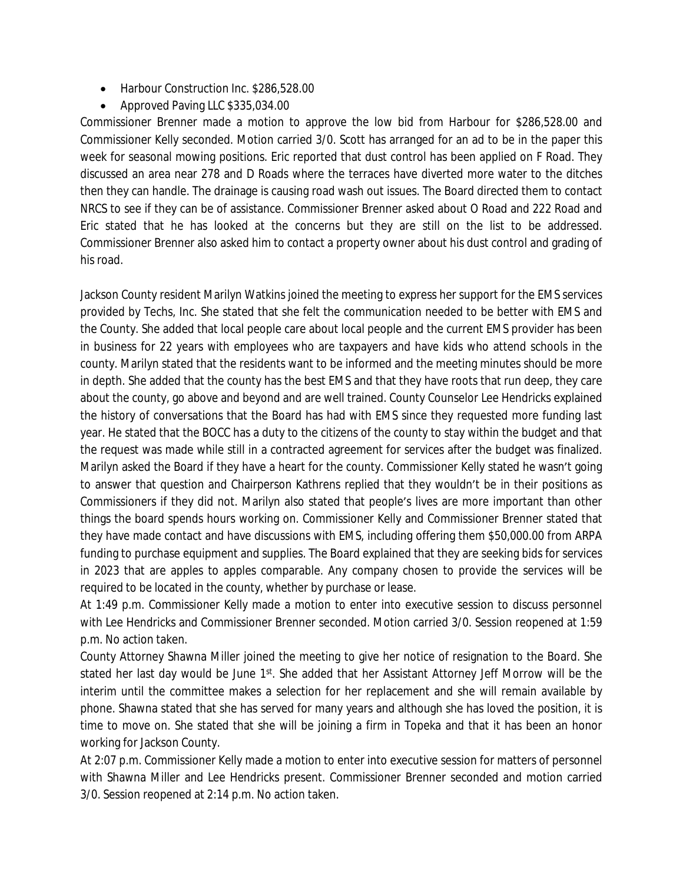- Harbour Construction Inc. \$286,528.00
- Approved Paving LLC \$335,034.00

Commissioner Brenner made a motion to approve the low bid from Harbour for \$286,528.00 and Commissioner Kelly seconded. Motion carried 3/0. Scott has arranged for an ad to be in the paper this week for seasonal mowing positions. Eric reported that dust control has been applied on F Road. They discussed an area near 278 and D Roads where the terraces have diverted more water to the ditches then they can handle. The drainage is causing road wash out issues. The Board directed them to contact NRCS to see if they can be of assistance. Commissioner Brenner asked about O Road and 222 Road and Eric stated that he has looked at the concerns but they are still on the list to be addressed. Commissioner Brenner also asked him to contact a property owner about his dust control and grading of his road.

Jackson County resident Marilyn Watkins joined the meeting to express her support for the EMS services provided by Techs, Inc. She stated that she felt the communication needed to be better with EMS and the County. She added that local people care about local people and the current EMS provider has been in business for 22 years with employees who are taxpayers and have kids who attend schools in the county. Marilyn stated that the residents want to be informed and the meeting minutes should be more in depth. She added that the county has the best EMS and that they have roots that run deep, they care about the county, go above and beyond and are well trained. County Counselor Lee Hendricks explained the history of conversations that the Board has had with EMS since they requested more funding last year. He stated that the BOCC has a duty to the citizens of the county to stay within the budget and that the request was made while still in a contracted agreement for services after the budget was finalized. Marilyn asked the Board if they have a heart for the county. Commissioner Kelly stated he wasn't going to answer that question and Chairperson Kathrens replied that they wouldn't be in their positions as Commissioners if they did not. Marilyn also stated that people's lives are more important than other things the board spends hours working on. Commissioner Kelly and Commissioner Brenner stated that they have made contact and have discussions with EMS, including offering them \$50,000.00 from ARPA funding to purchase equipment and supplies. The Board explained that they are seeking bids for services in 2023 that are apples to apples comparable. Any company chosen to provide the services will be required to be located in the county, whether by purchase or lease.

At 1:49 p.m. Commissioner Kelly made a motion to enter into executive session to discuss personnel with Lee Hendricks and Commissioner Brenner seconded. Motion carried 3/0. Session reopened at 1:59 p.m. No action taken.

County Attorney Shawna Miller joined the meeting to give her notice of resignation to the Board. She stated her last day would be June 1<sup>st</sup>. She added that her Assistant Attorney Jeff Morrow will be the interim until the committee makes a selection for her replacement and she will remain available by phone. Shawna stated that she has served for many years and although she has loved the position, it is time to move on. She stated that she will be joining a firm in Topeka and that it has been an honor working for Jackson County.

At 2:07 p.m. Commissioner Kelly made a motion to enter into executive session for matters of personnel with Shawna Miller and Lee Hendricks present. Commissioner Brenner seconded and motion carried 3/0. Session reopened at 2:14 p.m. No action taken.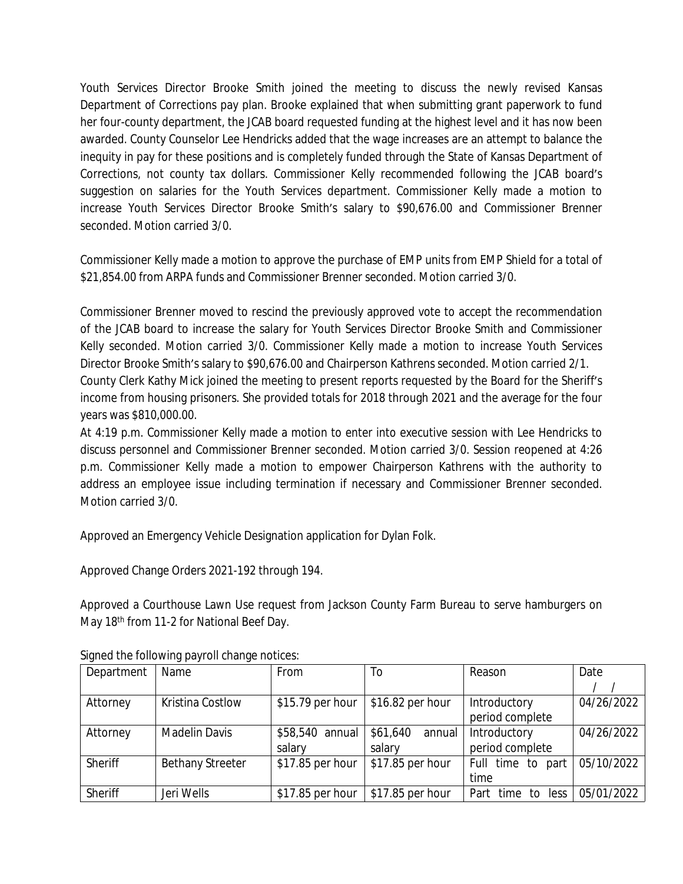Youth Services Director Brooke Smith joined the meeting to discuss the newly revised Kansas Department of Corrections pay plan. Brooke explained that when submitting grant paperwork to fund her four-county department, the JCAB board requested funding at the highest level and it has now been awarded. County Counselor Lee Hendricks added that the wage increases are an attempt to balance the inequity in pay for these positions and is completely funded through the State of Kansas Department of Corrections, not county tax dollars. Commissioner Kelly recommended following the JCAB board's suggestion on salaries for the Youth Services department. Commissioner Kelly made a motion to increase Youth Services Director Brooke Smith's salary to \$90,676.00 and Commissioner Brenner seconded. Motion carried 3/0.

Commissioner Kelly made a motion to approve the purchase of EMP units from EMP Shield for a total of \$21,854.00 from ARPA funds and Commissioner Brenner seconded. Motion carried 3/0.

Commissioner Brenner moved to rescind the previously approved vote to accept the recommendation of the JCAB board to increase the salary for Youth Services Director Brooke Smith and Commissioner Kelly seconded. Motion carried 3/0. Commissioner Kelly made a motion to increase Youth Services Director Brooke Smith's salary to \$90,676.00 and Chairperson Kathrens seconded. Motion carried 2/1. County Clerk Kathy Mick joined the meeting to present reports requested by the Board for the Sheriff's income from housing prisoners. She provided totals for 2018 through 2021 and the average for the four years was \$810,000.00.

At 4:19 p.m. Commissioner Kelly made a motion to enter into executive session with Lee Hendricks to discuss personnel and Commissioner Brenner seconded. Motion carried 3/0. Session reopened at 4:26 p.m. Commissioner Kelly made a motion to empower Chairperson Kathrens with the authority to address an employee issue including termination if necessary and Commissioner Brenner seconded. Motion carried 3/0.

Approved an Emergency Vehicle Designation application for Dylan Folk.

Approved Change Orders 2021-192 through 194.

Approved a Courthouse Lawn Use request from Jackson County Farm Bureau to serve hamburgers on May 18<sup>th</sup> from 11-2 for National Beef Day.

| Department | Name                    | From             | To                 | Reason               | Date       |
|------------|-------------------------|------------------|--------------------|----------------------|------------|
|            |                         |                  |                    |                      |            |
| Attorney   | Kristina Costlow        | \$15.79 per hour | \$16.82 per hour   | Introductory         | 04/26/2022 |
|            |                         |                  |                    | period complete      |            |
| Attorney   | <b>Madelin Davis</b>    | \$58,540 annual  | \$61,640<br>annual | Introductory         | 04/26/2022 |
|            |                         | salary           | salary             | period complete      |            |
| Sheriff    | <b>Bethany Streeter</b> | \$17.85 per hour | \$17.85 per hour   | Full time to part    | 05/10/2022 |
|            |                         |                  |                    | time                 |            |
| Sheriff    | Jeri Wells              | \$17.85 per hour | \$17.85 per hour   | Part time to<br>less | 05/01/2022 |

Signed the following payroll change notices: